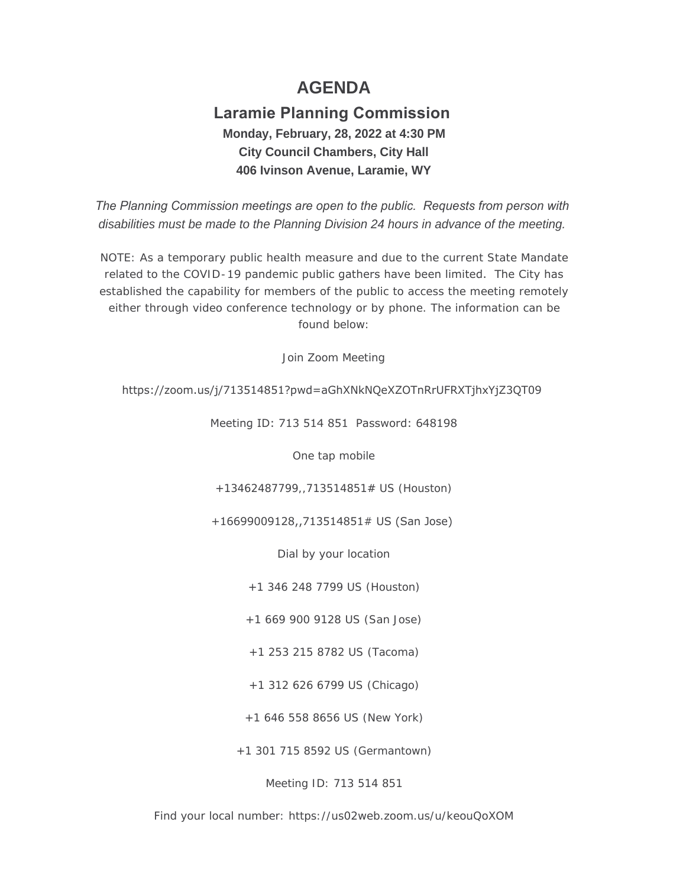# **AGENDA**

## **Laramie Planning Commission Monday, February, 28, 2022 at 4:30 PM City Council Chambers, City Hall 406 Ivinson Avenue, Laramie, WY**

*The Planning Commission meetings are open to the public. Requests from person with disabilities must be made to the Planning Division 24 hours in advance of the meeting.*

NOTE: As a temporary public health measure and due to the current State Mandate related to the COVID-19 pandemic public gathers have been limited. The City has established the capability for members of the public to access the meeting remotely either through video conference technology or by phone. The information can be found below:

Join Zoom Meeting

## https://zoom.us/j/713514851?pwd=aGhXNkNQeXZOTnRrUFRXTjhxYjZ3QT09

Meeting ID: 713 514 851 Password: 648198

One tap mobile

+13462487799,,713514851# US (Houston)

+16699009128,,713514851# US (San Jose)

Dial by your location

+1 346 248 7799 US (Houston)

+1 669 900 9128 US (San Jose)

+1 253 215 8782 US (Tacoma)

+1 312 626 6799 US (Chicago)

+1 646 558 8656 US (New York)

+1 301 715 8592 US (Germantown)

Meeting ID: 713 514 851

Find your local number: https://us02web.zoom.us/u/keouQoXOM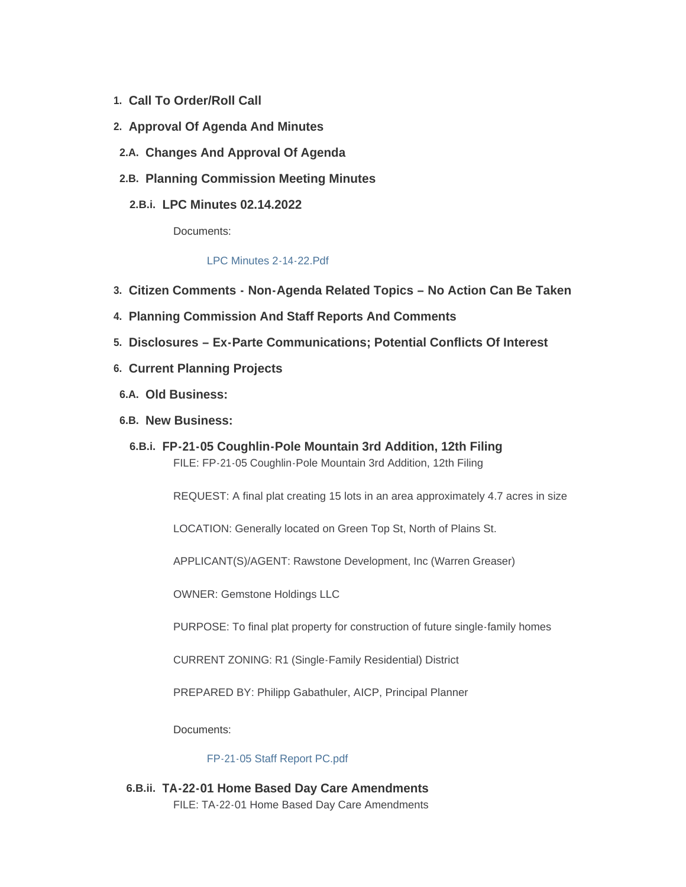- **Call To Order/Roll Call 1.**
- **Approval Of Agenda And Minutes 2.**
- **Changes And Approval Of Agenda 2.A.**
- **Planning Commission Meeting Minutes 2.B.**
	- **LPC Minutes 02.14.2022 2.B.i.**

Documents:

#### [LPC Minutes 2-14-22.Pdf](https://cityoflaramie.org/AgendaCenter/ViewFile/Item/11910?fileID=16160)

- **Citizen Comments - Non-Agenda Related Topics – No Action Can Be Taken 3.**
- **Planning Commission And Staff Reports And Comments 4.**
- **Disclosures – Ex-Parte Communications; Potential Conflicts Of Interest 5.**
- **Current Planning Projects 6.**
- **Old Business: 6.A.**
- **New Business: 6.B.**
	- **FP-21-05 Coughlin-Pole Mountain 3rd Addition, 12th Filing 6.B.i.** FILE: FP-21-05 Coughlin-Pole Mountain 3rd Addition, 12th Filing

REQUEST: A final plat creating 15 lots in an area approximately 4.7 acres in size

LOCATION: Generally located on Green Top St, North of Plains St.

APPLICANT(S)/AGENT: Rawstone Development, Inc (Warren Greaser)

OWNER: Gemstone Holdings LLC

PURPOSE: To final plat property for construction of future single-family homes

CURRENT ZONING: R1 (Single-Family Residential) District

PREPARED BY: Philipp Gabathuler, AICP, Principal Planner

Documents:

[FP-21-05 Staff Report PC.pdf](https://cityoflaramie.org/AgendaCenter/ViewFile/Item/11909?fileID=16134)

**TA-22-01 Home Based Day Care Amendments 6.B.ii.** FILE: TA-22-01 Home Based Day Care Amendments